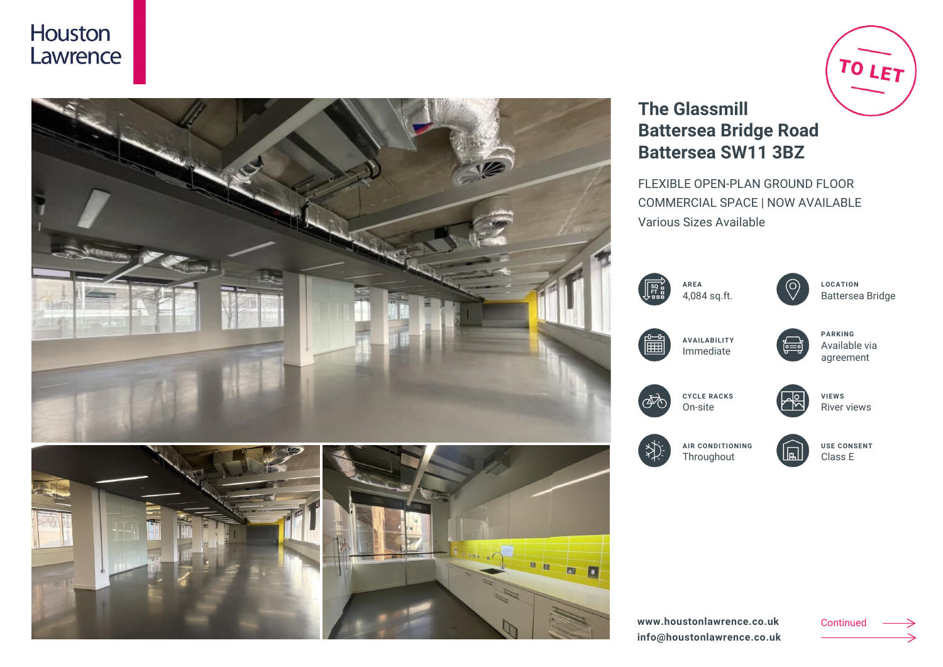### Houston Lawrence



# TO LET **The Glassmill Battersea Bridge Road Battersea SW11 3BZ**

FLEXIBLE OPEN-PLAN GROUND FLOOR COMMERCIAL SPACE | NOW AVAILABLE Various Sizes Available

| $\sqrt{\frac{20}{10}}$ | <b>ARFA</b><br>4,084 sq.ft. |
|------------------------|-----------------------------|
|                        |                             |



**LOCATION** Battersea Bridge





agreement



**CYCLE RACKS** On-site



River views



**AIR CONDITIONING Throughout** 

**USE CONSENT** Class E

**www.houstonlawrence.co.uk info@houstonlawrence.co.uk** Continued